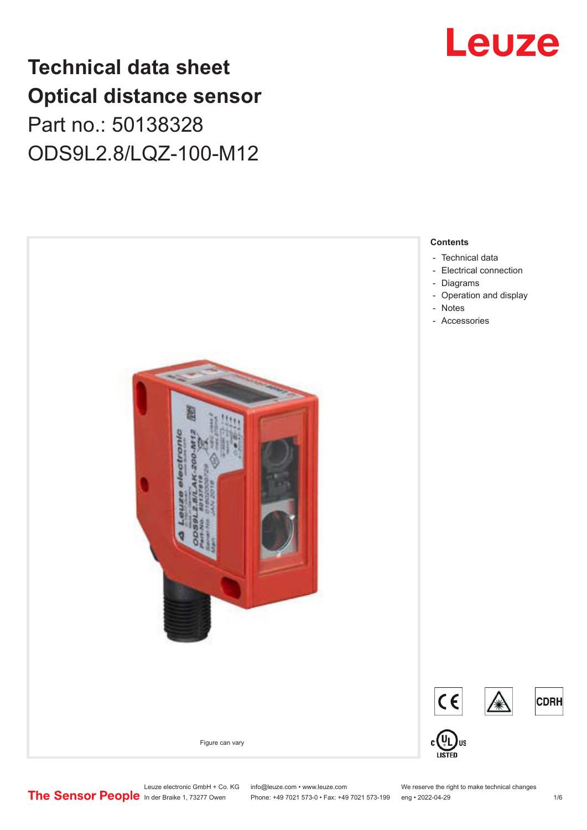## **Technical data sheet Optical distance sensor** Part no.: 50138328 ODS9L2.8/LQZ-100-M12





Leuze electronic GmbH + Co. KG info@leuze.com • www.leuze.com We reserve the right to make technical changes<br> **The Sensor People** in der Braike 1, 73277 Owen Phone: +49 7021 573-0 • Fax: +49 7021 573-199 eng • 2022-04-29

Phone: +49 7021 573-0 • Fax: +49 7021 573-199 eng • 2022-04-29 1 metal is the match of the 1/6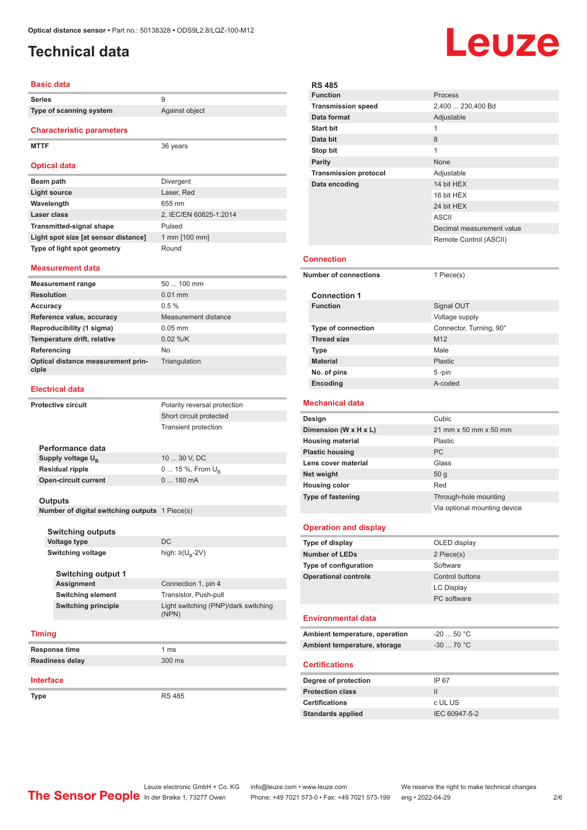## <span id="page-1-0"></span>**Technical data**

#### **Basic data**

| Series                               | 9                      |  |  |  |
|--------------------------------------|------------------------|--|--|--|
| Type of scanning system              | Against object         |  |  |  |
| <b>Characteristic parameters</b>     |                        |  |  |  |
| <b>MTTF</b>                          | 36 years               |  |  |  |
| <b>Optical data</b>                  |                        |  |  |  |
| Beam path                            | <b>Divergent</b>       |  |  |  |
| <b>Light source</b>                  | Laser, Red             |  |  |  |
| Wavelength                           | 655 nm                 |  |  |  |
| Laser class                          | 2, IEC/EN 60825-1:2014 |  |  |  |
| <b>Transmitted-signal shape</b>      | Pulsed                 |  |  |  |
| Light spot size [at sensor distance] | 1 mm [100 mm]          |  |  |  |
| Type of light spot geometry          | Round                  |  |  |  |

#### **Measurement data**

| <b>Measurement range</b>                    | $50100$ mm           |
|---------------------------------------------|----------------------|
| <b>Resolution</b>                           | $0.01$ mm            |
| Accuracy                                    | $0.5 \%$             |
| Reference value, accuracy                   | Measurement distance |
| Reproducibility (1 sigma)                   | $0.05$ mm            |
| Temperature drift, relative                 | $0.02$ %/K           |
| Referencing                                 | No.                  |
| Optical distance measurement prin-<br>ciple | Triangulation        |

#### **Electrical data**

| <b>Protective circuit</b> |                                                | Polarity reversal protection      |
|---------------------------|------------------------------------------------|-----------------------------------|
|                           |                                                | Short circuit protected           |
|                           |                                                | <b>Transient protection</b>       |
|                           | Performance data                               |                                   |
|                           | Supply voltage U <sub>B</sub>                  | 10  30 V, DC                      |
|                           | <b>Residual ripple</b>                         | $0 15 \%$ , From $U_{\rm B}$      |
|                           | <b>Open-circuit current</b>                    | 0  180 mA                         |
|                           | <b>Outputs</b>                                 |                                   |
|                           | Number of digital switching outputs 1 Piece(s) |                                   |
|                           | <b>Switching outputs</b>                       |                                   |
|                           | <b>Voltage type</b>                            | DC.                               |
|                           | <b>Switching voltage</b>                       | high: $\geq$ (U <sub>p</sub> -2V) |
|                           | <b>Switching output 1</b>                      |                                   |
|                           | Assignment                                     | Connection 1, pin 4               |
|                           |                                                |                                   |

| Assignment          | Connection 1, pin 4                           |
|---------------------|-----------------------------------------------|
| Switching element   | Transistor, Push-pull                         |
| Switching principle | Light switching (PNP)/dark switching<br>(NPN) |
|                     |                                               |

#### **Timing**

| Response time   | 1 ms   |
|-----------------|--------|
| Readiness delay | 300 ms |

#### **Interface**

**Type** RS 485

**Leuze** 

| <b>RS 485</b>                                                                                                                                         |                              |  |  |
|-------------------------------------------------------------------------------------------------------------------------------------------------------|------------------------------|--|--|
| <b>Function</b>                                                                                                                                       | Process                      |  |  |
| <b>Transmission speed</b>                                                                                                                             | 2,400  230,400 Bd            |  |  |
| Data format                                                                                                                                           | Adjustable                   |  |  |
| <b>Start bit</b>                                                                                                                                      | $\mathbf{1}$                 |  |  |
| Data bit                                                                                                                                              | 8                            |  |  |
| Stop bit                                                                                                                                              | 1                            |  |  |
| <b>Parity</b>                                                                                                                                         | None                         |  |  |
| <b>Transmission protocol</b>                                                                                                                          | Adjustable                   |  |  |
| Data encoding                                                                                                                                         | 14 bit HEX                   |  |  |
|                                                                                                                                                       | 16 bit HEX                   |  |  |
|                                                                                                                                                       | 24 bit HEX<br><b>ASCII</b>   |  |  |
|                                                                                                                                                       | Decimal measurement value    |  |  |
|                                                                                                                                                       | Remote Control (ASCII)       |  |  |
|                                                                                                                                                       |                              |  |  |
| Connection                                                                                                                                            |                              |  |  |
| <b>Number of connections</b>                                                                                                                          | 1 Piece(s)                   |  |  |
| <b>Connection 1</b>                                                                                                                                   |                              |  |  |
| <b>Function</b>                                                                                                                                       | Signal OUT                   |  |  |
|                                                                                                                                                       | Voltage supply               |  |  |
| <b>Type of connection</b>                                                                                                                             | Connector, Turning, 90°      |  |  |
| <b>Thread size</b>                                                                                                                                    | M <sub>12</sub>              |  |  |
| <b>Type</b>                                                                                                                                           | Male                         |  |  |
| <b>Material</b>                                                                                                                                       | <b>Plastic</b>               |  |  |
| No. of pins                                                                                                                                           | 5-pin                        |  |  |
| Encoding                                                                                                                                              | A-coded                      |  |  |
| Mechanical data                                                                                                                                       |                              |  |  |
|                                                                                                                                                       |                              |  |  |
|                                                                                                                                                       | Cubic                        |  |  |
| Design                                                                                                                                                | 21 mm x 50 mm x 50 mm        |  |  |
| Dimension (W x H x L)<br><b>Housing material</b>                                                                                                      | Plastic                      |  |  |
|                                                                                                                                                       | PC                           |  |  |
| <b>Plastic housing</b><br>Lens cover material                                                                                                         | Glass                        |  |  |
| Net weight                                                                                                                                            | 50 g                         |  |  |
| <b>Housing color</b>                                                                                                                                  | Red                          |  |  |
|                                                                                                                                                       | Through-hole mounting        |  |  |
|                                                                                                                                                       | Via optional mounting device |  |  |
|                                                                                                                                                       |                              |  |  |
|                                                                                                                                                       | OLED display                 |  |  |
|                                                                                                                                                       | 2 Piece(s)                   |  |  |
|                                                                                                                                                       | Software                     |  |  |
| Type of fastening<br><b>Operation and display</b><br>Type of display<br><b>Number of LEDs</b><br>Type of configuration<br><b>Operational controls</b> | Control buttons              |  |  |
|                                                                                                                                                       | <b>LC Display</b>            |  |  |
|                                                                                                                                                       | PC software                  |  |  |
| <b>Environmental data</b>                                                                                                                             |                              |  |  |
| Ambient temperature, operation                                                                                                                        | $-20$ 50 °C                  |  |  |
| Ambient temperature, storage                                                                                                                          | $-30$ 70 °C                  |  |  |
|                                                                                                                                                       |                              |  |  |
|                                                                                                                                                       |                              |  |  |
|                                                                                                                                                       | IP 67                        |  |  |
|                                                                                                                                                       | Ш                            |  |  |
|                                                                                                                                                       | c UL US                      |  |  |
| <b>Certifications</b><br>Degree of protection<br><b>Protection class</b><br><b>Certifications</b><br><b>Standards applied</b>                         | IEC 60947-5-2                |  |  |

Î.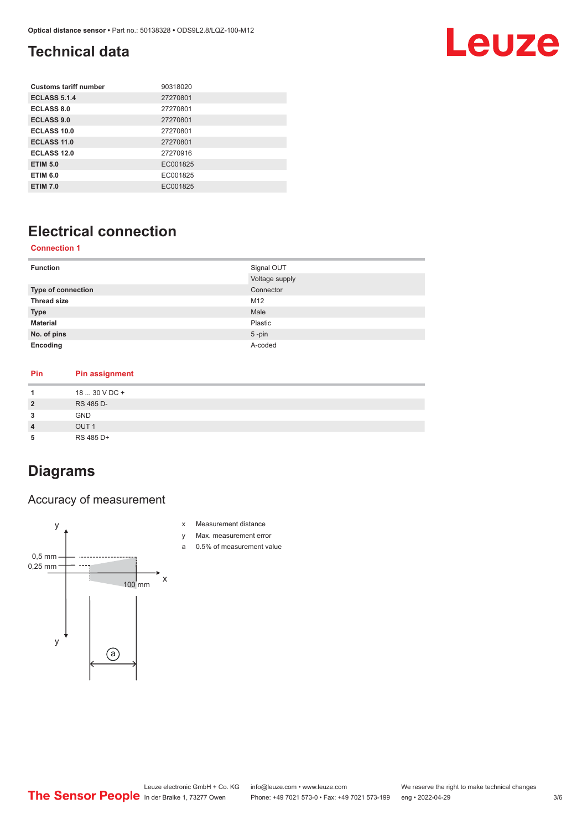## <span id="page-2-0"></span>**Technical data**

## Leuze

| <b>Customs tariff number</b> | 90318020 |
|------------------------------|----------|
| <b>ECLASS 5.1.4</b>          | 27270801 |
| ECLASS 8.0                   | 27270801 |
| <b>ECLASS 9.0</b>            | 27270801 |
| ECLASS 10.0                  | 27270801 |
| <b>ECLASS 11.0</b>           | 27270801 |
| ECLASS 12.0                  | 27270916 |
| <b>ETIM 5.0</b>              | EC001825 |
| <b>ETIM 6.0</b>              | EC001825 |
| <b>ETIM 7.0</b>              | EC001825 |

## **Electrical connection**

#### **Connection 1**

| <b>Function</b>    | Signal OUT     |
|--------------------|----------------|
|                    | Voltage supply |
| Type of connection | Connector      |
| <b>Thread size</b> | M12            |
| <b>Type</b>        | Male           |
| <b>Material</b>    | Plastic        |
| No. of pins        | $5$ -pin       |
| Encoding           | A-coded        |
|                    |                |

#### **Pin Pin assignment 1** 18 ... 30 V DC + **2** RS 485 D-**3** GND **4** OUT 1 **5** RS 485 D+

### **Diagrams**

#### Accuracy of measurement



- x Measurement distance
- y Max. measurement error
- a 0.5% of measurement value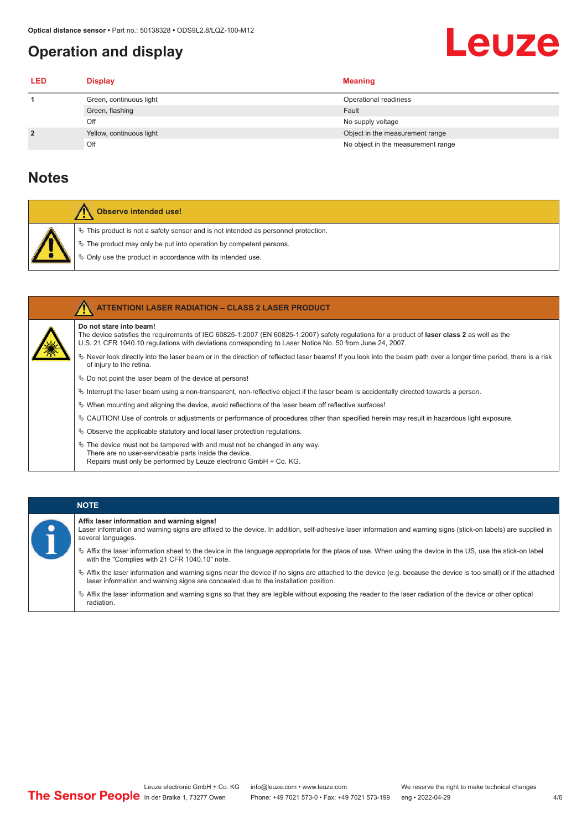## <span id="page-3-0"></span>**Operation and display**

## Leuze

| LED            | <b>Display</b>           | <b>Meaning</b>                     |
|----------------|--------------------------|------------------------------------|
|                | Green, continuous light  | Operational readiness              |
|                | Green, flashing          | Fault                              |
|                | Off                      | No supply voltage                  |
| $\overline{2}$ | Yellow, continuous light | Object in the measurement range    |
|                | Off                      | No object in the measurement range |

### **Notes**

| Observe intended use!                                                                                                                                                                                                         |
|-------------------------------------------------------------------------------------------------------------------------------------------------------------------------------------------------------------------------------|
| $\%$ This product is not a safety sensor and is not intended as personnel protection.<br>$\%$ The product may only be put into operation by competent persons.<br>♦ Only use the product in accordance with its intended use. |

| <b>ATTENTION! LASER RADIATION - CLASS 2 LASER PRODUCT</b>                                                                                                                                                                                                                                  |
|--------------------------------------------------------------------------------------------------------------------------------------------------------------------------------------------------------------------------------------------------------------------------------------------|
| Do not stare into beam!<br>The device satisfies the requirements of IEC 60825-1:2007 (EN 60825-1:2007) safety requiations for a product of <b>laser class 2</b> as well as the<br>U.S. 21 CFR 1040.10 regulations with deviations corresponding to Laser Notice No. 50 from June 24, 2007. |
| Never look directly into the laser beam or in the direction of reflected laser beams! If you look into the beam path over a longer time period, there is a risk<br>of injury to the retina.                                                                                                |
| $\%$ Do not point the laser beam of the device at persons!                                                                                                                                                                                                                                 |
| $\%$ Interrupt the laser beam using a non-transparent, non-reflective object if the laser beam is accidentally directed towards a person.                                                                                                                                                  |
| $\%$ When mounting and aligning the device, avoid reflections of the laser beam off reflective surfaces!                                                                                                                                                                                   |
| $\&$ CAUTION! Use of controls or adjustments or performance of procedures other than specified herein may result in hazardous light exposure.                                                                                                                                              |
| $\&$ Observe the applicable statutory and local laser protection regulations.                                                                                                                                                                                                              |
| $\&$ The device must not be tampered with and must not be changed in any way.<br>There are no user-serviceable parts inside the device.<br>Repairs must only be performed by Leuze electronic GmbH + Co. KG.                                                                               |

#### **NOTE**

**Affix laser information and warning signs!**

Laser information and warning signs are affixed to the device. In addition, self-adhesive laser information and warning signs (stick-on labels) are supplied in several languages.

- ª Affix the laser information sheet to the device in the language appropriate for the place of use. When using the device in the US, use the stick-on label with the "Complies with 21 CFR 1040.10" note.
- ª Affix the laser information and warning signs near the device if no signs are attached to the device (e.g. because the device is too small) or if the attached laser information and warning signs are concealed due to the installation position.
- ª Affix the laser information and warning signs so that they are legible without exposing the reader to the laser radiation of the device or other optical radiation.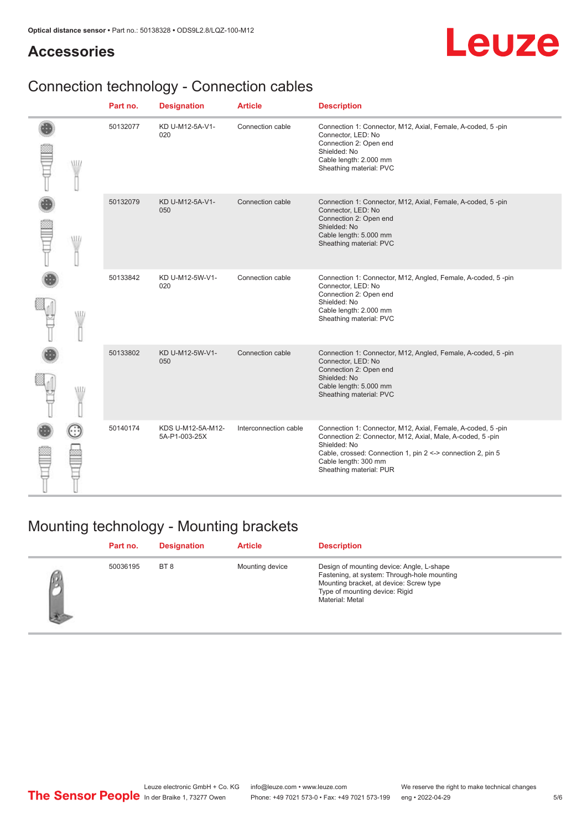### **Accessories**

# Leuze

## Connection technology - Connection cables

|   | Part no. | <b>Designation</b>                 | <b>Article</b>        | <b>Description</b>                                                                                                                                                                                                                                         |
|---|----------|------------------------------------|-----------------------|------------------------------------------------------------------------------------------------------------------------------------------------------------------------------------------------------------------------------------------------------------|
| W | 50132077 | KD U-M12-5A-V1-<br>020             | Connection cable      | Connection 1: Connector, M12, Axial, Female, A-coded, 5-pin<br>Connector, LED: No<br>Connection 2: Open end<br>Shielded: No<br>Cable length: 2.000 mm<br>Sheathing material: PVC                                                                           |
| W | 50132079 | KD U-M12-5A-V1-<br>050             | Connection cable      | Connection 1: Connector, M12, Axial, Female, A-coded, 5-pin<br>Connector, LED: No<br>Connection 2: Open end<br>Shielded: No<br>Cable length: 5.000 mm<br>Sheathing material: PVC                                                                           |
| W | 50133842 | KD U-M12-5W-V1-<br>020             | Connection cable      | Connection 1: Connector, M12, Angled, Female, A-coded, 5-pin<br>Connector, LED: No<br>Connection 2: Open end<br>Shielded: No<br>Cable length: 2.000 mm<br>Sheathing material: PVC                                                                          |
| w | 50133802 | KD U-M12-5W-V1-<br>050             | Connection cable      | Connection 1: Connector, M12, Angled, Female, A-coded, 5-pin<br>Connector, LED: No<br>Connection 2: Open end<br>Shielded: No<br>Cable length: 5.000 mm<br>Sheathing material: PVC                                                                          |
|   | 50140174 | KDS U-M12-5A-M12-<br>5A-P1-003-25X | Interconnection cable | Connection 1: Connector, M12, Axial, Female, A-coded, 5-pin<br>Connection 2: Connector, M12, Axial, Male, A-coded, 5-pin<br>Shielded: No<br>Cable, crossed: Connection 1, pin 2 <-> connection 2, pin 5<br>Cable length: 300 mm<br>Sheathing material: PUR |

## Mounting technology - Mounting brackets

| Part no. | <b>Designation</b> | <b>Article</b>  | <b>Description</b>                                                                                                                                                                       |
|----------|--------------------|-----------------|------------------------------------------------------------------------------------------------------------------------------------------------------------------------------------------|
| 50036195 | BT 8               | Mounting device | Design of mounting device: Angle, L-shape<br>Fastening, at system: Through-hole mounting<br>Mounting bracket, at device: Screw type<br>Type of mounting device: Rigid<br>Material: Metal |